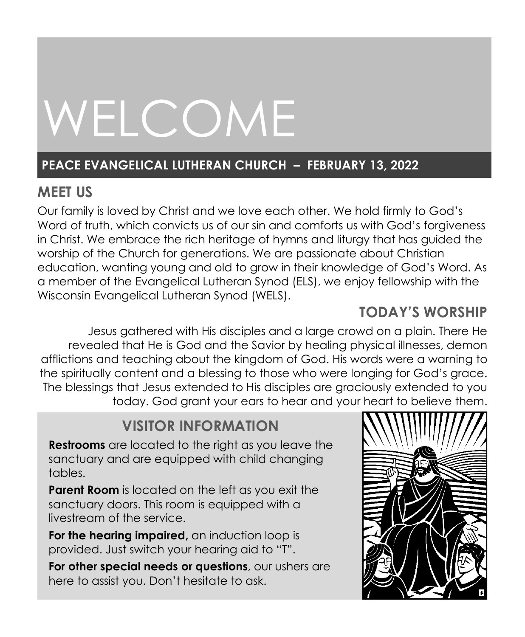# WELCOME

# **PEACE EVANGELICAL LUTHERAN CHURCH – FEBRUARY 13, 2022**

# **MEET US**

Our family is loved by Christ and we love each other. We hold firmly to God's Word of truth, which convicts us of our sin and comforts us with God's forgiveness in Christ. We embrace the rich heritage of hymns and liturgy that has guided the worship of the Church for generations. We are passionate about Christian education, wanting young and old to grow in their knowledge of God's Word. As a member of the Evangelical Lutheran Synod (ELS), we enjoy fellowship with the Wisconsin Evangelical Lutheran Synod (WELS).

# **TODAY'S WORSHIP**

Jesus gathered with His disciples and a large crowd on a plain. There He revealed that He is God and the Savior by healing physical illnesses, demon afflictions and teaching about the kingdom of God. His words were a warning to the spiritually content and a blessing to those who were longing for God's grace. The blessings that Jesus extended to His disciples are graciously extended to you today. God grant your ears to hear and your heart to believe them.

# **VISITOR INFORMATION**

**Restrooms** are located to the right as you leave the sanctuary and are equipped with child changing tables.

**Parent Room** is located on the left as you exit the sanctuary doors. This room is equipped with a livestream of the service.

**For the hearing impaired,** an induction loop is provided. Just switch your hearing aid to "T".

**For other special needs or questions**, our ushers are here to assist you. Don't hesitate to ask.

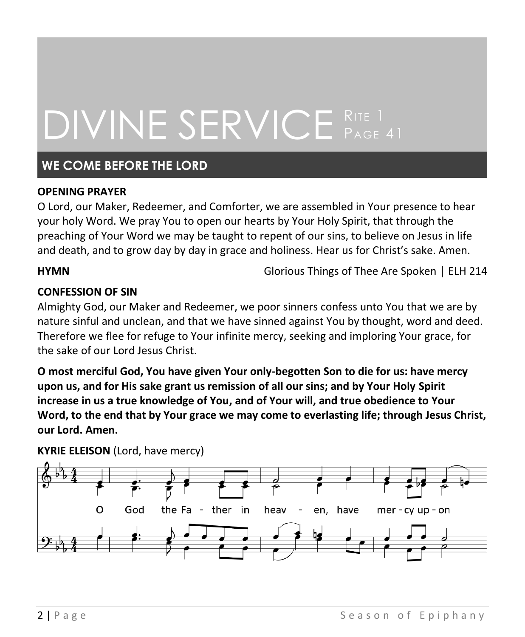# DIVINE SERVICE RITE 1 PAGE 41

# **WE COME BEFORE THE LORD**

#### **OPENING PRAYER**

O Lord, our Maker, Redeemer, and Comforter, we are assembled in Your presence to hear your holy Word. We pray You to open our hearts by Your Holy Spirit, that through the preaching of Your Word we may be taught to repent of our sins, to believe on Jesus in life and death, and to grow day by day in grace and holiness. Hear us for Christ's sake. Amen.

**HYMN** Glorious Things of Thee Are Spoken │ ELH 214

### **CONFESSION OF SIN**

Almighty God, our Maker and Redeemer, we poor sinners confess unto You that we are by nature sinful and unclean, and that we have sinned against You by thought, word and deed. Therefore we flee for refuge to Your infinite mercy, seeking and imploring Your grace, for the sake of our Lord Jesus Christ.

**O most merciful God, You have given Your only-begotten Son to die for us: have mercy upon us, and for His sake grant us remission of all our sins; and by Your Holy Spirit increase in us a true knowledge of You, and of Your will, and true obedience to Your Word, to the end that by Your grace we may come to everlasting life; through Jesus Christ, our Lord. Amen.**

**KYRIE ELEISON** (Lord, have mercy)

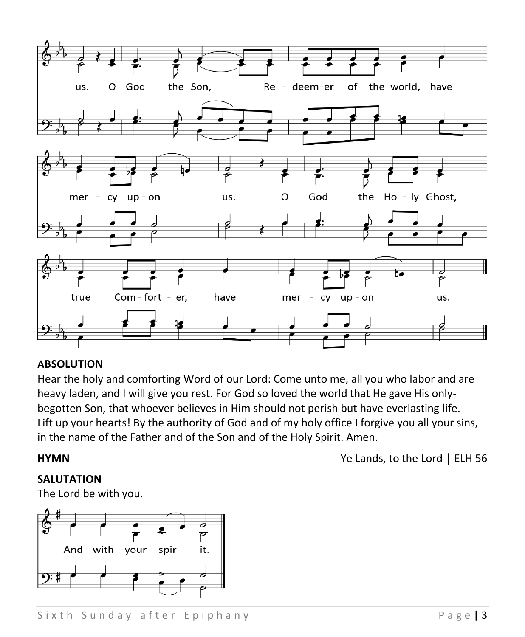

#### **ABSOLUTION**

Hear the holy and comforting Word of our Lord: Come unto me, all you who labor and are heavy laden, and I will give you rest. For God so loved the world that He gave His onlybegotten Son, that whoever believes in Him should not perish but have everlasting life. Lift up your hearts! By the authority of God and of my holy office I forgive you all your sins, in the name of the Father and of the Son and of the Holy Spirit. Amen.

**SALUTATION**

The Lord be with you.



**HYMN** Ye Lands, to the Lord │ ELH 56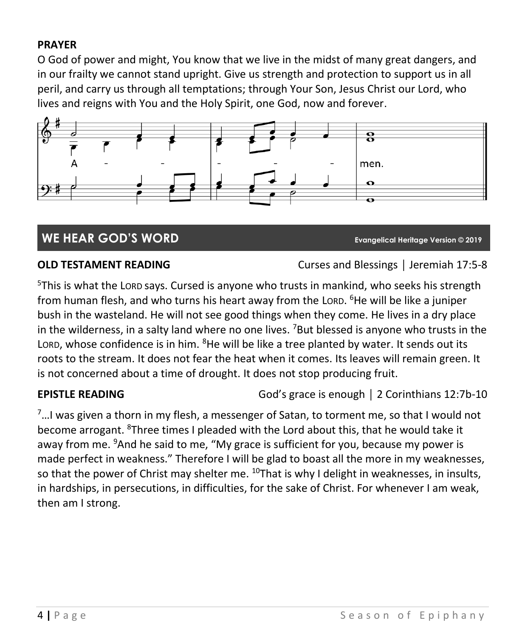### **PRAYER**

O God of power and might, You know that we live in the midst of many great dangers, and in our frailty we cannot stand upright. Give us strength and protection to support us in all peril, and carry us through all temptations; through Your Son, Jesus Christ our Lord, who lives and reigns with You and the Holy Spirit, one God, now and forever.



# **WE HEAR GOD'S WORD Evangelical Heritage Version © 2019**

**OLD TESTAMENT READING** Curses and Blessings | Jeremiah 17:5-8

<sup>5</sup>This is what the LORD says. Cursed is anyone who trusts in mankind, who seeks his strength from human flesh, and who turns his heart away from the Loro. <sup>6</sup>He will be like a juniper bush in the wasteland. He will not see good things when they come. He lives in a dry place in the wilderness, in a salty land where no one lives. <sup>7</sup>But blessed is anyone who trusts in the LORD, whose confidence is in him. <sup>8</sup>He will be like a tree planted by water. It sends out its roots to the stream. It does not fear the heat when it comes. Its leaves will remain green. It is not concerned about a time of drought. It does not stop producing fruit.

**EPISTLE READING** God's grace is enough | 2 Corinthians 12:7b-10

 $7...$ I was given a thorn in my flesh, a messenger of Satan, to torment me, so that I would not become arrogant. <sup>8</sup>Three times I pleaded with the Lord about this, that he would take it away from me. <sup>9</sup>And he said to me, "My grace is sufficient for you, because my power is made perfect in weakness." Therefore I will be glad to boast all the more in my weaknesses, so that the power of Christ may shelter me.  $^{10}$ That is why I delight in weaknesses, in insults, in hardships, in persecutions, in difficulties, for the sake of Christ. For whenever I am weak, then am I strong.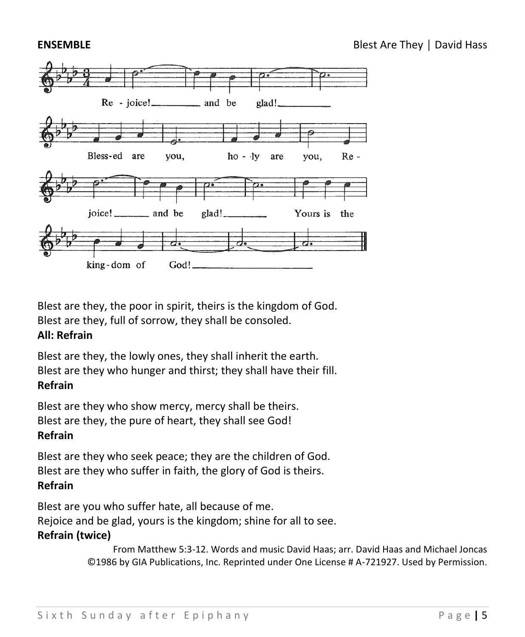

Blest are they, the poor in spirit, theirs is the kingdom of God. Blest are they, full of sorrow, they shall be consoled. **All: Refrain**

Blest are they, the lowly ones, they shall inherit the earth. Blest are they who hunger and thirst; they shall have their fill. **Refrain**

Blest are they who show mercy, mercy shall be theirs. Blest are they, the pure of heart, they shall see God! **Refrain**

Blest are they who seek peace; they are the children of God. Blest are they who suffer in faith, the glory of God is theirs. **Refrain**

Blest are you who suffer hate, all because of me. Rejoice and be glad, yours is the kingdom; shine for all to see.

### **Refrain (twice)**

From Matthew 5:3-12. Words and music David Haas; arr. David Haas and Michael Joncas ©1986 by GIA Publications, Inc. Reprinted under One License # A-721927. Used by Permission.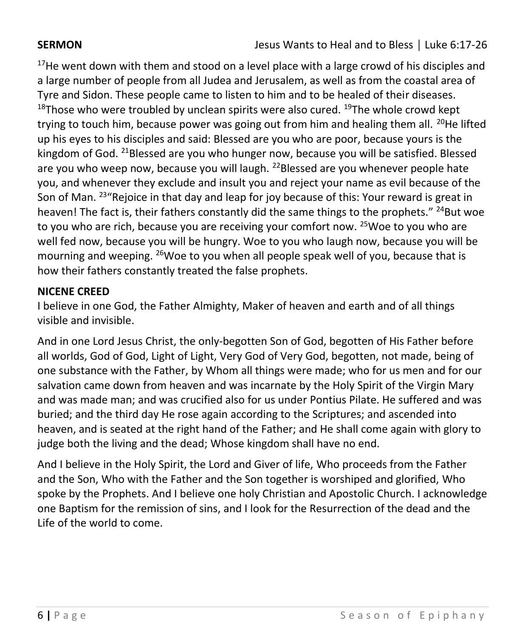$17$ He went down with them and stood on a level place with a large crowd of his disciples and a large number of people from all Judea and Jerusalem, as well as from the coastal area of Tyre and Sidon. These people came to listen to him and to be healed of their diseases.  $18$ Those who were troubled by unclean spirits were also cured.  $19$ The whole crowd kept trying to touch him, because power was going out from him and healing them all.  $^{20}$ He lifted up his eyes to his disciples and said: Blessed are you who are poor, because yours is the kingdom of God. <sup>21</sup>Blessed are you who hunger now, because you will be satisfied. Blessed are you who weep now, because you will laugh.  $^{22}$ Blessed are you whenever people hate you, and whenever they exclude and insult you and reject your name as evil because of the Son of Man.  $^{23}$ "Rejoice in that day and leap for joy because of this: Your reward is great in heaven! The fact is, their fathers constantly did the same things to the prophets." <sup>24</sup>But woe to you who are rich, because you are receiving your comfort now. <sup>25</sup>Woe to you who are well fed now, because you will be hungry. Woe to you who laugh now, because you will be mourning and weeping. <sup>26</sup>Woe to you when all people speak well of you, because that is how their fathers constantly treated the false prophets.

### **NICENE CREED**

I believe in one God, the Father Almighty, Maker of heaven and earth and of all things visible and invisible.

And in one Lord Jesus Christ, the only-begotten Son of God, begotten of His Father before all worlds, God of God, Light of Light, Very God of Very God, begotten, not made, being of one substance with the Father, by Whom all things were made; who for us men and for our salvation came down from heaven and was incarnate by the Holy Spirit of the Virgin Mary and was made man; and was crucified also for us under Pontius Pilate. He suffered and was buried; and the third day He rose again according to the Scriptures; and ascended into heaven, and is seated at the right hand of the Father; and He shall come again with glory to judge both the living and the dead; Whose kingdom shall have no end.

And I believe in the Holy Spirit, the Lord and Giver of life, Who proceeds from the Father and the Son, Who with the Father and the Son together is worshiped and glorified, Who spoke by the Prophets. And I believe one holy Christian and Apostolic Church. I acknowledge one Baptism for the remission of sins, and I look for the Resurrection of the dead and the Life of the world to come.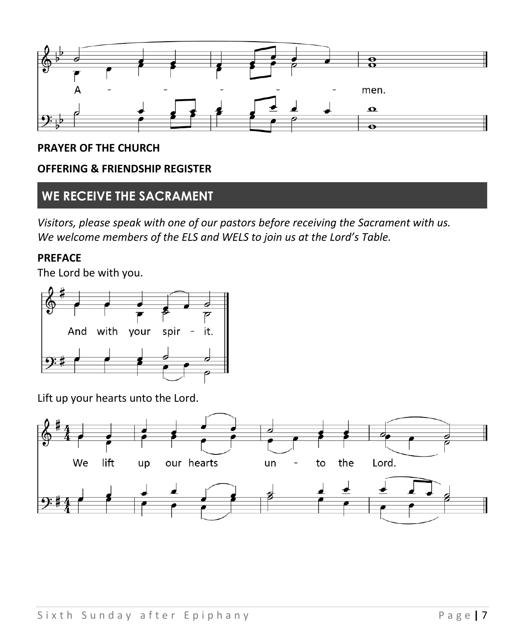

#### **PRAYER OF THE CHURCH**

#### **OFFERING & FRIENDSHIP REGISTER**

### **WE RECEIVE THE SACRAMENT**

*Visitors, please speak with one of our pastors before receiving the Sacrament with us. We welcome members of the ELS and WELS to join us at the Lord's Table.*

#### **PREFACE**

The Lord be with you.



Lift up your hearts unto the Lord.

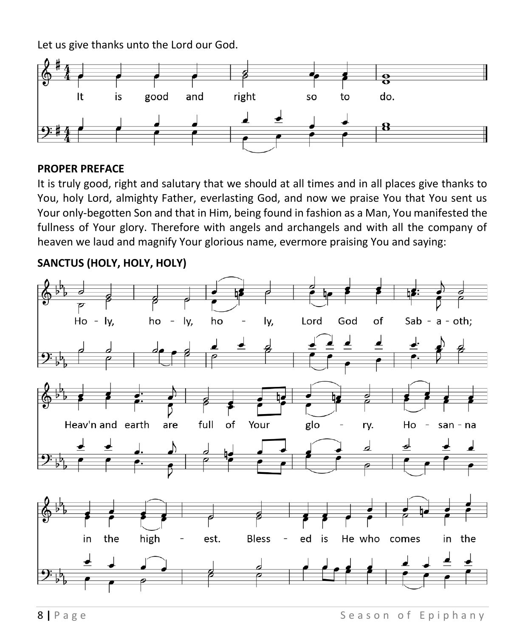Let us give thanks unto the Lord our God.



#### **PROPER PREFACE**

It is truly good, right and salutary that we should at all times and in all places give thanks to You, holy Lord, almighty Father, everlasting God, and now we praise You that You sent us Your only-begotten Son and that in Him, being found in fashion as a Man, You manifested the fullness of Your glory. Therefore with angels and archangels and with all the company of heaven we laud and magnify Your glorious name, evermore praising You and saying:

### **SANCTUS (HOLY, HOLY, HOLY)**

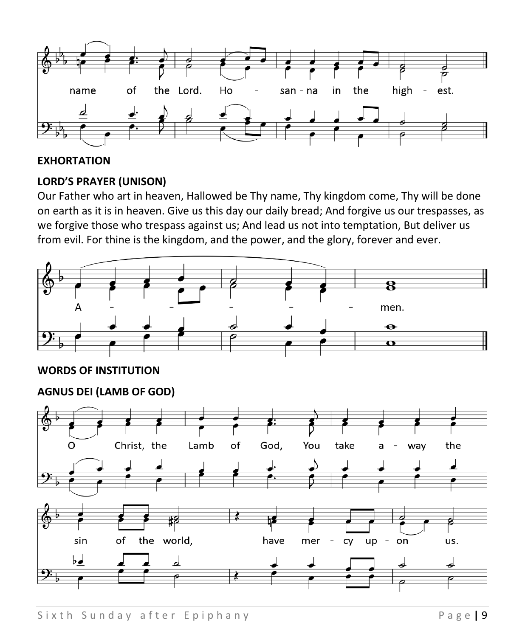

#### **EXHORTATION**

### **LORD'S PRAYER (UNISON)**

Our Father who art in heaven, Hallowed be Thy name, Thy kingdom come, Thy will be done on earth as it is in heaven. Give us this day our daily bread; And forgive us our trespasses, as we forgive those who trespass against us; And lead us not into temptation, But deliver us from evil. For thine is the kingdom, and the power, and the glory, forever and ever.



### **WORDS OF INSTITUTION**

**AGNUS DEI (LAMB OF GOD)**

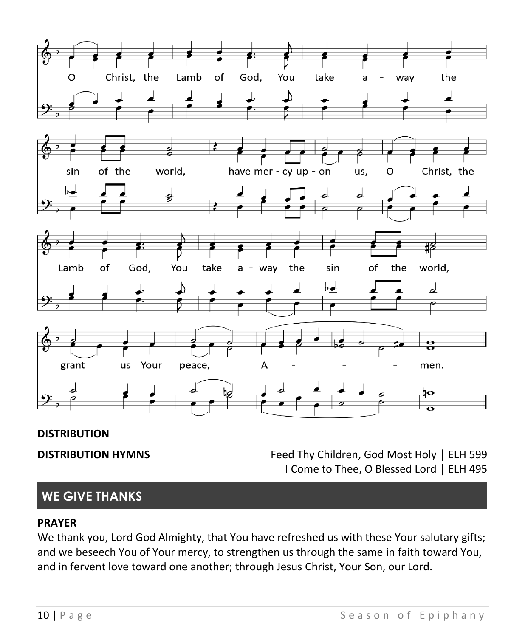

#### **DISTRIBUTION**

**DISTRIBUTION HYMNS** Feed Thy Children, God Most Holy | ELH 599 I Come to Thee, O Blessed Lord │ ELH 495

# **WE GIVE THANKS**

#### **PRAYER**

We thank you, Lord God Almighty, that You have refreshed us with these Your salutary gifts; and we beseech You of Your mercy, to strengthen us through the same in faith toward You, and in fervent love toward one another; through Jesus Christ, Your Son, our Lord.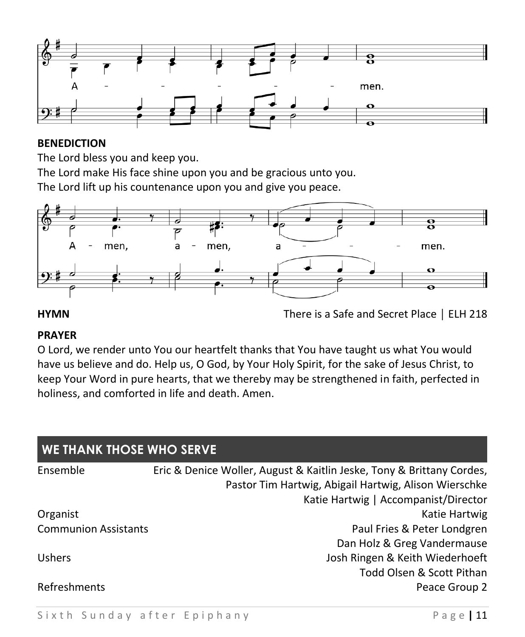

#### **BENEDICTION**

The Lord bless you and keep you.

The Lord make His face shine upon you and be gracious unto you.

The Lord lift up his countenance upon you and give you peace.



**HYMN** There is a Safe and Secret Place │ ELH 218

#### **PRAYER**

O Lord, we render unto You our heartfelt thanks that You have taught us what You would have us believe and do. Help us, O God, by Your Holy Spirit, for the sake of Jesus Christ, to keep Your Word in pure hearts, that we thereby may be strengthened in faith, perfected in holiness, and comforted in life and death. Amen.

| <b>WE THANK THOSE WHO SERVE</b> |                                                                       |  |  |
|---------------------------------|-----------------------------------------------------------------------|--|--|
| Ensemble                        | Eric & Denice Woller, August & Kaitlin Jeske, Tony & Brittany Cordes, |  |  |
|                                 | Pastor Tim Hartwig, Abigail Hartwig, Alison Wierschke                 |  |  |
|                                 | Katie Hartwig   Accompanist/Director                                  |  |  |
| Organist                        | Katie Hartwig                                                         |  |  |
| <b>Communion Assistants</b>     | Paul Fries & Peter Londgren                                           |  |  |
|                                 | Dan Holz & Greg Vandermause                                           |  |  |
| <b>Ushers</b>                   | Josh Ringen & Keith Wiederhoeft                                       |  |  |
|                                 | Todd Olsen & Scott Pithan                                             |  |  |
| Refreshments                    | Peace Group 2                                                         |  |  |